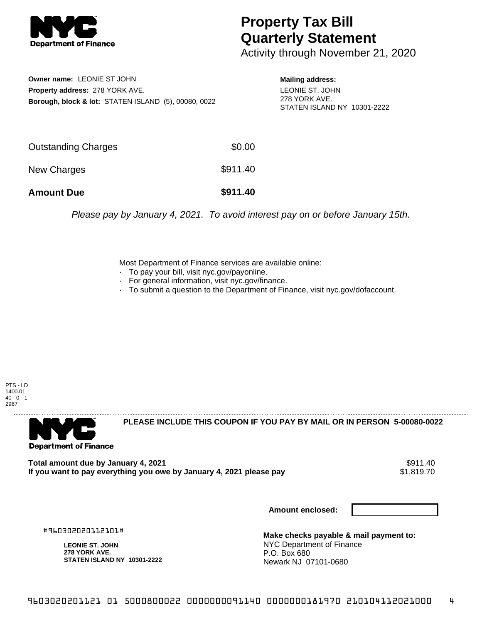

## **Property Tax Bill Quarterly Statement**

Activity through November 21, 2020

**Owner name:** LEONIE ST JOHN **Property address:** 278 YORK AVE. **Borough, block & lot:** STATEN ISLAND (5), 00080, 0022 **Mailing address:** LEONIE ST. JOHN

278 YORK AVE. STATEN ISLAND NY 10301-2222

| <b>Amount Due</b>   | \$911.40 |
|---------------------|----------|
| New Charges         | \$911.40 |
| Outstanding Charges | \$0.00   |

Please pay by January 4, 2021. To avoid interest pay on or before January 15th.

Most Department of Finance services are available online:

- · To pay your bill, visit nyc.gov/payonline.
- For general information, visit nyc.gov/finance.
- · To submit a question to the Department of Finance, visit nyc.gov/dofaccount.

PTS - LD 1400.01 40 - 0 - 1 2967



**PLEASE INCLUDE THIS COUPON IF YOU PAY BY MAIL OR IN PERSON 5-00080-0022** 

\$911.40 **Total amount due by January 4, 2021**<br>If you want to pay everything you owe by January 4, 2021 please pay **shipped to the S1,819.70** If you want to pay everything you owe by January 4, 2021 please pay

**Amount enclosed:**

#960302020112101#

**LEONIE ST. JOHN 278 YORK AVE. STATEN ISLAND NY 10301-2222**

**Make checks payable & mail payment to:** NYC Department of Finance P.O. Box 680 Newark NJ 07101-0680